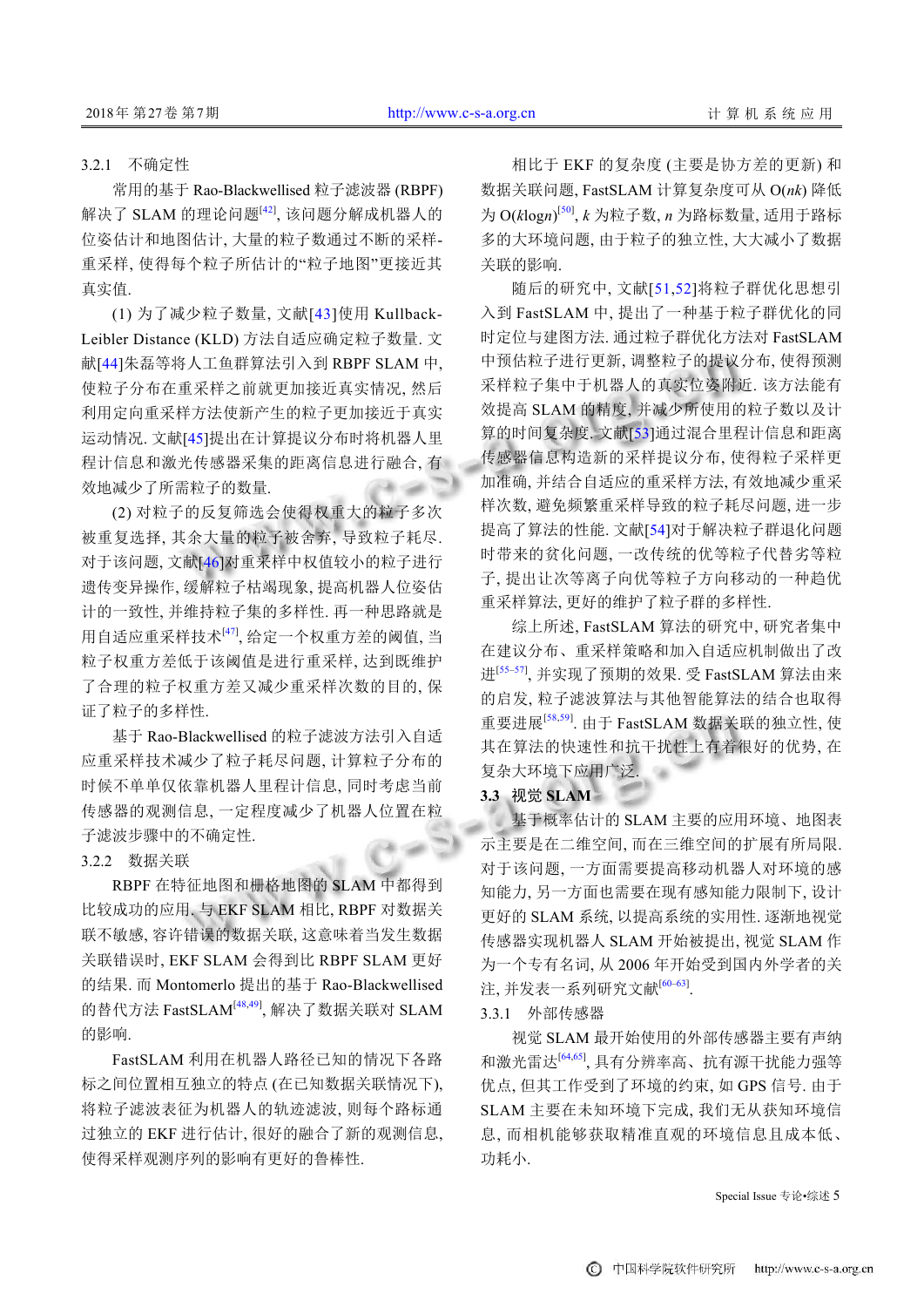# 3.2.1 不确定性

常用的基于 Rao-Blackwellised 粒子滤波器 (RBPF) 解决了 SLAM 的理论问题<sup>[[42](#page-8-0)]</sup>, 该问题分解成机器人的 位姿估计和地图估计, 大量的粒子数通过不断的采样-重采样, 使得每个粒子所估计的"粒子地图"更接近其 真实值.

(1) 为了减少粒子数量, 文献[[43](#page-8-1)]使用 Kullback-Leibler Distance (KLD) 方法自适应确定粒子数量. 文 献[[44](#page-8-2)]朱磊等将人工鱼群算法引入到 RBPF SLAM 中, 使粒子分布在重采样之前就更加接近真实情况, 然后 利用定向重采样方法使新产生的粒子更加接近于真实 运动情况. 文献[\[45](#page-8-3)]提出在计算提议分布时将机器人里 程计信息和激光传感器采集的距离信息进行融合, 有 效地减少了所需粒子的数量.

(2) 对粒子的反复筛选会使得权重大的粒子多次 被重复选择, 其余大量的粒子被舍弃, 导致粒子耗尽. 对于该问题, 文献[\[46](#page-8-4)]对重采样中权值较小的粒子进行 遗传变异操作, 缓解粒子枯竭现象, 提高机器人位姿估 计的一致性, 并维持粒子集的多样性. 再一种思路就是 用自适应重采样技术[\[47\]](#page-8-5) , 给定一个权重方差的阈值, 当 粒子权重方差低于该阈值是进行重采样, 达到既维护 了合理的粒子权重方差又减少重采样次数的目的, 保 证了粒子的多样性.

基于 Rao-Blackwellised 的粒子滤波方法引入自适 应重采样技术减少了粒子耗尽问题, 计算粒子分布的 时候不单单仅依靠机器人里程计信息, 同时考虑当前 传感器的观测信息, 一定程度减少了机器人位置在粒 子滤波步骤中的不确定性.

# 3.2.2 数据关联

RBPF 在特征地图和栅格地图的 SLAM 中都得到 比较成功的应用. 与 EKF SLAM 相比, RBPF 对数据关 联不敏感, 容许错误的数据关联, 这意味着当发生数据 关联错误时, EKF SLAM 会得到比 RBPF SLAM 更好 的结果. 而 Montomerlo 提出的基于 Rao-Blackwellised 的替代方法 FastSLAM<sup>[[48,](#page-8-6)[49\]](#page-8-7)</sup>, 解决了数据关联对 SLAM 的影响.

FastSLAM 利用在机器人路径已知的情况下各路 标之间位置相互独立的特点 (在已知数据关联情况下), 将粒子滤波表征为机器人的轨迹滤波, 则每个路标通 过独立的 EKF 进行估计, 很好的融合了新的观测信息, 使得采样观测序列的影响有更好的鲁棒性.

相比于 EKF 的复杂度 (主要是协方差的更新) 和 数据关联问题, FastSLAM 计算复杂度可从 O(*nk*) 降低 为 O(*k*log*n*) [[50](#page-8-8)] , *k* 为粒子数, *n* 为路标数量, 适用于路标 多的大环境问题, 由于粒子的独立性, 大大减小了数据 关联的影响.

随后的研究中, 文献[[51](#page-8-9)[,52](#page-8-10)]将粒子群优化思想引 入到 FastSLAM 中, 提出了一种基于粒子群优化的同 时定位与建图方法. 通过粒子群优化方法对 FastSLAM 中预估粒子进行更新, 调整粒子的提议分布, 使得预测 采样粒子集中于机器人的真实位姿附近. 该方法能有 效提高 SLAM 的精度, 并减少所使用的粒子数以及计 算的时间复杂度. 文献[[53\]](#page-8-11)通过混合里程计信息和距离 传感器信息构造新的采样提议分布, 使得粒子采样更 加准确, 并结合自适应的重采样方法, 有效地减少重采 样次数, 避免频繁重采样导致的粒子耗尽问题, 进一步 提高了算法的性能. 文献[[54\]](#page-8-12)对于解决粒子群退化问题 时带来的贫化问题, 一改传统的优等粒子代替劣等粒 子, 提出让次等离子向优等粒子方向移动的一种趋优 重采样算法, 更好的维护了粒子群的多样性.

综上所述, FastSLAM 算法的研究中, 研究者集中 在建议分布、重采样策略和加入自适应机制做出了改 进[[55](#page-8-13)–[57](#page-8-14)] , 并实现了预期的效果. 受 FastSLAM 算法由来 的启发, 粒子滤波算法与其他智能算法的结合也取得 重要进展[[58](#page-8-15),[59](#page-8-16)]. 由于 FastSLAM 数据关联的独立性, 使 其在算法的快速性和抗干扰性上有着很好的优势, 在 复杂大环境下应用广泛.

#### **3.3** 视觉 **SLAM**

基于概率估计的 SLAM 主要的应用环境、地图表 示主要是在二维空间, 而在三维空间的扩展有所局限. 对于该问题, 一方面需要提高移动机器人对环境的感 知能力, 另一方面也需要在现有感知能力限制下, 设计 更好的 SLAM 系统, 以提高系统的实用性. 逐渐地视觉 传感器实现机器人 SLAM 开始被提出, 视觉 SLAM 作 为一个专有名词, 从 2006 年开始受到国内外学者的关 注, 并发表一系列研究文献<sup>[[60](#page-8-17)[–63](#page-8-18)]</sup>.

#### 3.3.1 外部传感器

视觉 SLAM 最开始使用的外部传感器主要有声纳 和激光雷达<sup>[[64,](#page-8-19)[65\]](#page-9-0)</sup>, 具有分辨率高、抗有源干扰能力强等 优点, 但其工作受到了环境的约束, 如 GPS 信号. 由于 SLAM 主要在未知环境下完成, 我们无从获知环境信 息, 而相机能够获取精准直观的环境信息且成本低、 功耗小.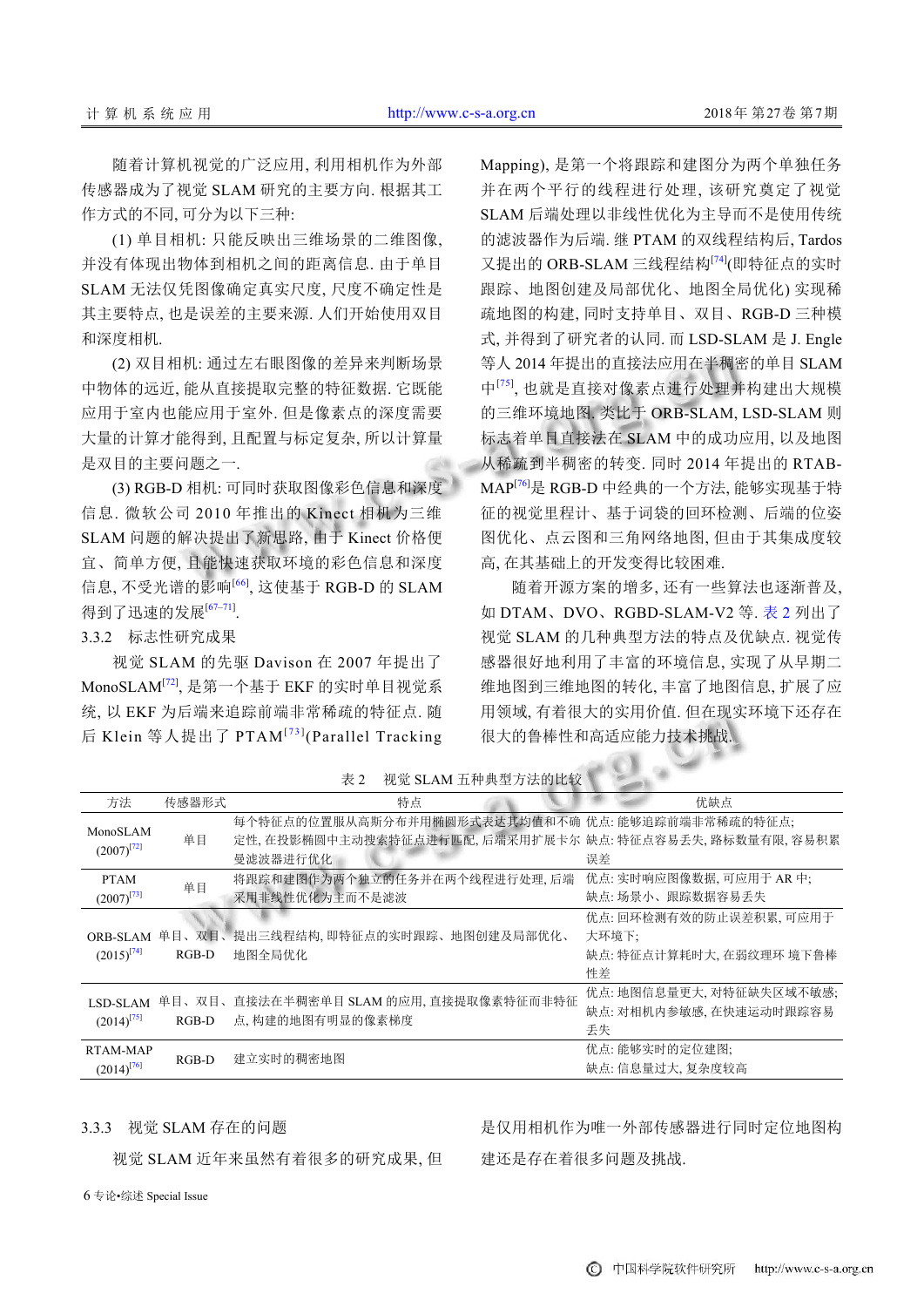随着计算机视觉的广泛应用, 利用相机作为外部 传感器成为了视觉 SLAM 研究的主要方向. 根据其工 作方式的不同, 可分为以下三种:

(1) 单目相机: 只能反映出三维场景的二维图像, 并没有体现出物体到相机之间的距离信息. 由于单目 SLAM 无法仅凭图像确定真实尺度, 尺度不确定性是 其主要特点, 也是误差的主要来源. 人们开始使用双目 和深度相机.

(2) 双目相机: 通过左右眼图像的差异来判断场景 中物体的远近, 能从直接提取完整的特征数据. 它既能 应用于室内也能应用于室外. 但是像素点的深度需要 大量的计算才能得到, 且配置与标定复杂, 所以计算量 是双目的主要问题之一.

(3) RGB-D 相机: 可同时获取图像彩色信息和深度 信息. 微软公司 2010 年推出的 Kinect 相机为三维 SLAM 问题的解决提出了新思路, 由于 Kinect 价格便 宜、简单方便, 且能快速获取环境的彩色信息和深度 信息, 不受光谱的影响<sup>[[66](#page-9-1)]</sup>, 这使基于 RGB-D 的 SLAM 得到了迅速的发展<sup>[\[67](#page-9-2)–[71\]](#page-9-3)</sup>.

3.3.2 标志性研究成果

视觉 SLAM 的先驱 Davison 在 2007 年提出了 MonoSLAM<sup>[[72](#page-9-4)]</sup>, 是第一个基于 EKF 的实时单目视觉系 统, 以 EKF 为后端来追踪前端非常稀疏的特征点. 随 后 Klein 等人提出了 PTAM<sup>[73]</sup>(Parallel Tracking

Mapping), 是第一个将跟踪和建图分为两个单独任务 并在两个平行的线程进行处理, 该研究[奠定了](#page-5-0)视觉 SLAM 后端处理以非线性优化为主导而不是使用传统 的滤波器作为后端. 继 PTAM 的双线程结构后, Tardos 又提出的 ORB-SLAM 三线程结构[\[74\]](#page-9-6)(即特征点的实时 跟踪、地图创建及局部优化、地图全局优化) 实现稀 疏地图的构建, 同时支持单目、双目、RGB-D 三种模 式, 并得到了研究者的认同. 而 LSD-SLAM 是 J. Engle 等人 2014 年提出的直接法应用在半稠密的单目 SLAM 中[\[75](#page-9-7)] , 也就是直接对像素点进行处理并构建出大规模 的三维环境地图. 类比于 ORB-SLAM, LSD-SLAM 则 标志着单目直接法在 SLAM 中的成功应用, 以及地图 从稀疏到半稠密的转变. 同时 2014 年提出的 RTAB-MAP[\[76\]](#page-9-8)是 RGB-D 中经典的一个方法, 能够实现基于特 征的视觉里程计、基于词袋的回环检测、后端的位姿 图优化、点云图和三角网络地图, 但由于其集成度较 高, 在其基础上的开发变得比较困难.

随着开源方案的增多, 还有一些算法也逐渐普及, 如 DTAM、DVO、RGBD-SLAM-V2 等. [表](#page-5-0) [2](#page-5-0) 列出了 视觉 SLAM 的几种典型方法的特点及优缺点. 视觉传 感器很好地利用了丰富的环境信息, 实现了从早期二 维地图到三维地图的转化, 丰富了地图信息, 扩展了应 用领域, 有着很大的实用价值. 但在现实环境下还存在 很大的鲁棒性和高适应能力技术挑战.

| 方法                             | 传感器形式   | 特点                                                                  | 优缺点                      |
|--------------------------------|---------|---------------------------------------------------------------------|--------------------------|
| MonoSLAM<br>$(2007)^{[72]}$    | 单目      | 每个特征点的位置服从高斯分布并用椭圆形式表达其均值和不确 优点 能够追踪前端非常稀疏的特征点:                     |                          |
|                                |         | 定性, 在投影椭圆中主动搜索特征点进行匹配, 后端采用扩展卡尔 缺点: 特征点容易丢失, 路标数量有限, 容易积累           |                          |
|                                |         | 曼滤波器进行优化                                                            | 误差                       |
| <b>PTAM</b><br>$(2007)^{[73]}$ | 单目      | 将跟踪和建图作为两个独立的任务并在两个线程进行处理,后端                                        | 优点: 实时响应图像数据, 可应用于 AR 中; |
|                                |         | 采用非线性优化为主而不是滤波                                                      | 缺点: 场景小、跟踪数据容易丢失         |
|                                |         |                                                                     | 优点: 回环检测有效的防止误差积累, 可应用于  |
| $(2015)^{[74]}$                | $RGB-D$ | ORB-SLAM 单目、双目、提出三线程结构, 即特征点的实时跟踪、地图创建及局部优化、<br>地图全局优化              | 大环境下:                    |
|                                |         |                                                                     | 缺点: 特征点计算耗时大, 在弱纹理环 境下鲁棒 |
|                                |         |                                                                     | 性差                       |
| $(2014)^{[75]}$                | $RGB-D$ | LSD-SLAM 单目、双目、直接法在半稠密单目 SLAM 的应用, 直接提取像素特征而非特征<br>点, 构建的地图有明显的像素梯度 | 优点: 地图信息量更大, 对特征缺失区域不敏感; |
|                                |         |                                                                     | 缺点: 对相机内参敏感, 在快速运动时跟踪容易  |
|                                |         |                                                                     | 丢失                       |
| RTAM-MAP<br>$(2014)^{[76]}$    | $RGB-D$ | 建立实时的稠密地图                                                           | 优点: 能够实时的定位建图;           |
|                                |         |                                                                     | 缺点:信息量过大,复杂度较高           |

<span id="page-5-0"></span>表 2 视觉 SLAM 五种典型方法的比较

### 3.3.3 视觉 SLAM 存在的问题

视觉 SLAM 近年来虽然有着很多的研究成果, 但

是仅用相机作为唯一外部传感器进行同时定位地图构 建还是存在着很多问题及挑战.

6 专论•综述 Special Issue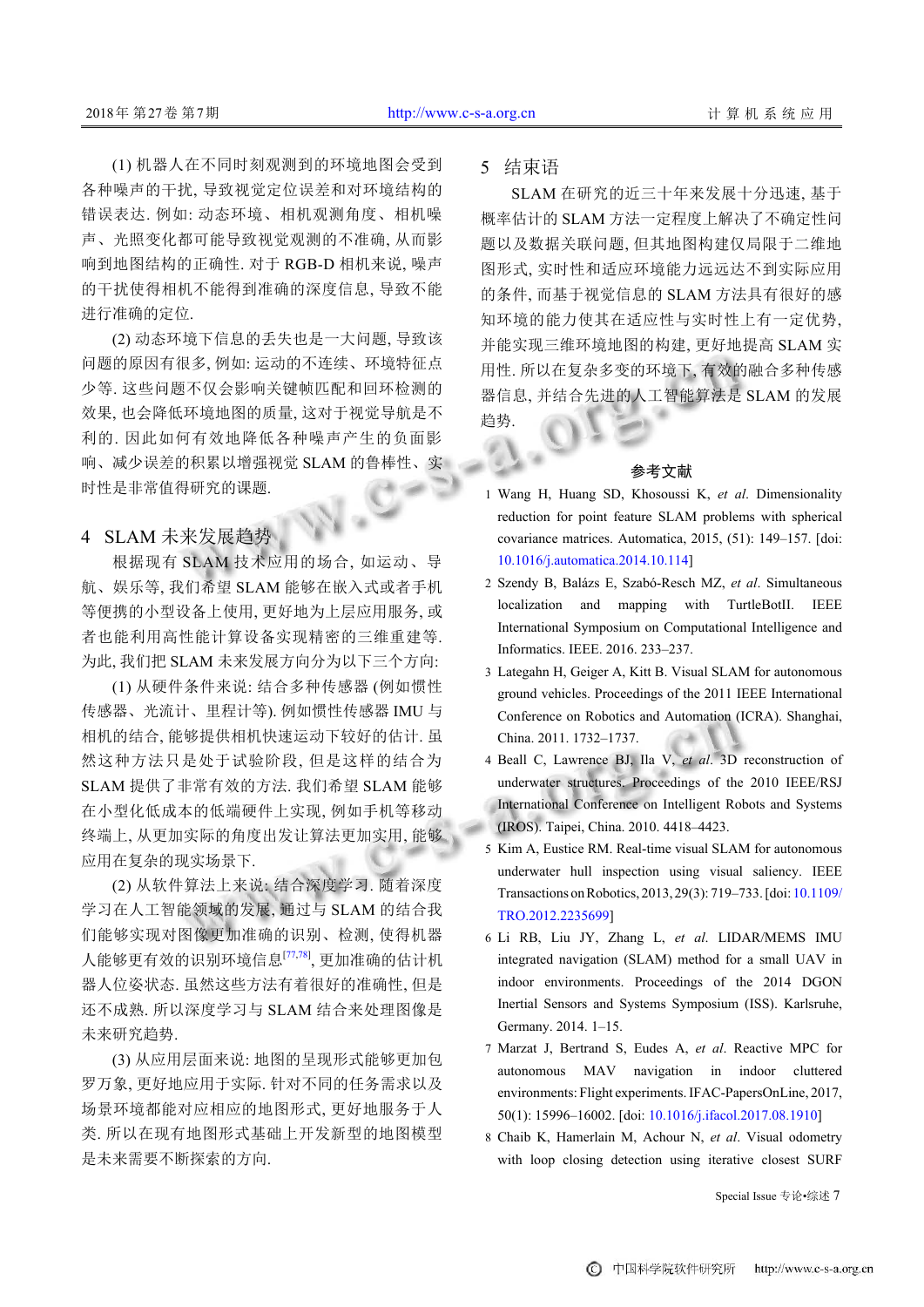(1) 机器人在不同时刻观测到的环境地图会受到 各种噪声的干扰, 导致视觉定位误差和对环境结构的 错误表达. 例如: 动态环境、相机观测角度、相机噪 声、光照变化都可能导致视觉观测的不准确, 从而影 响到地图结构的正确性. 对于 RGB-D 相机来说, 噪声 的干扰使得相机不能得到准确的深度信息, 导致不能 进行准确的定位.

(2) 动态环境下信息的丢失也是一大问题, 导致该 问题的原因有很多, 例如: 运动的不连续、环境特征点 少等. 这些问题不仅会影响关键帧匹配和回环检测的 效果, 也会降低环境地图的质量, 这对于视觉导航是不 利的. 因此如何有效地降低各种噪声产生的负面影 响、减少误差的积累以增强视觉 SLAM 的鲁棒性、实 时性是非常值得研究的课题.

# 4 SLAM 未来发展趋势

根据现有 SLAM 技术应用的场合, 如运动、导 航、娱乐等, 我们希望 SLAM 能够在嵌入式或者手机 等便携的小型设备上使用, 更好地为上层应用服务, 或 者也能利用高性能计算设备实现精密的三维重建等. 为此, 我们把 SLAM 未来发展方向分为以下三个方向:

(1) 从硬件条件来说: 结合多种传感器 (例如惯性 传感器、光流计、里程计等). 例如惯性传感器 IMU 与 相机的结合, 能够提供相机快速运动下较好的估计. 虽 然这种方法只是处于试验阶段, 但是这样的结合为 SLAM 提供了非常有效的方法. 我们希望 SLAM 能够 在小型化低成本的低端硬件上实现, 例如手机等移动 终端上, 从更加实际的角度出发让算法更加实用, 能够 应用在复杂的现实场景下.

(2) 从软件算法上来说: 结合深度学习. 随着深度 学习在人工智能领域的发展, 通过与 SLAM 的结合我 们能够实现对图像更加准确的识别、检测, 使得机器 人能够更有效的识别环境信息<sup>[\[77,](#page-9-9)[78](#page-9-10)]</sup>, 更加准确的估计机 器人位姿状态. 虽然这些方法有着很好的准确性, 但是 还不成熟. 所以深度学习与 SLAM 结合来处理图像是 未来研究趋势.

(3) 从应用层面来说: 地图的呈现形式能够更加包 罗万象, 更好地应用于实际. 针对不同的任务需求以及 场景环境都能对应相应的地图形式, 更好地服务于人 类. 所以在现有地图形式基础上开发新型的地图模型 是未来需要不断探索的方向.

### 5 结束语

SLAM 在研究的近三十年来发展十分迅速, 基于 概率估计的 SLAM 方法一定程度上解决了不确定性问 题以及数据关联问题, 但其地图构建仅局限于二维地 图形式, 实时性和适应环境能力远远达不到实际应用 的条件, 而基于视觉信息的 SLAM 方法具有很好的感 知环境的能力使其在适应性与实时性上有一定优势, 并能实现三维环境地图的构建, 更好地提高 SLAM 实 用性. 所以在复杂多变的环境下, 有效的融合多种传感 器信息, 并结合先进的人工智能算法是 SLAM 的发展 趋势.

# 参考文献

- Wang H, Huang SD, Khosoussi K, *et al*. Dimensionality 1 reduction for point feature SLAM problems with spherical covariance matrices. Automatica, 2015, (51): 149–157. [doi: [10.1016/j.automatica.2014.10.114\]](http://dx.doi.org/10.1016/j.automatica.2014.10.114)
- Szendy B, Balázs E, Szabó-Resch MZ, *et al*. Simultaneous 2 localization and mapping with TurtleBotII. IEEE International Symposium on Computational Intelligence and Informatics. IEEE. 2016. 233–237.
- Lategahn H, Geiger A, Kitt B. Visual SLAM for autonomous 3 ground vehicles. Proceedings of the 2011 IEEE International Conference on Robotics and Automation (ICRA). Shanghai, China. 2011. 1732–1737.
- 4 Beall C, Lawrence BJ, Ila V, et al. 3D reconstruction of underwater structures. Proceedings of the 2010 IEEE/RSJ International Conference on Intelligent Robots and Systems (IROS). Taipei, China. 2010. 4418–4423.
- 5 Kim A, Eustice RM. Real-time visual SLAM for autonomous underwater hull inspection using visual salienc[y. IEEE](http://dx.doi.org/10.1109/TRO.2012.2235699) [Transactions on Rob](http://dx.doi.org/10.1109/TRO.2012.2235699)otics, 2013, 29(3): 719–733. [doi: [10.1109/](http://dx.doi.org/10.1109/TRO.2012.2235699) [TRO.2012.2235699\]](http://dx.doi.org/10.1109/TRO.2012.2235699)
- Li RB, Liu JY, Zhang L, *et al*. LIDAR/MEMS IMU 6 integrated navigation (SLAM) method for a small UAV in indoor environments. Proceedings of the 2014 DGON Inertial Sensors and Systems Symposium (ISS). Karlsruhe, Germany. 2014. 1–15.
- Marzat J, Bertrand S, Eudes A, *et al*. Reactive MPC for 7 autonomous MAV navigation in indoor cluttered environments: Flight exper[iments. IFAC-PapersOnLine, 2](http://dx.doi.org/10.1016/j.ifacol.2017.08.1910)017, 50(1): 15996–16002. [doi: [10.1016/j.ifacol.2017.08.1910\]](http://dx.doi.org/10.1016/j.ifacol.2017.08.1910)
- Chaib K, Hamerlain M, Achour N, *et al*. Visual odometry 8 with loop closing detection using iterative closest SURF

Special Issue 专论•综述 7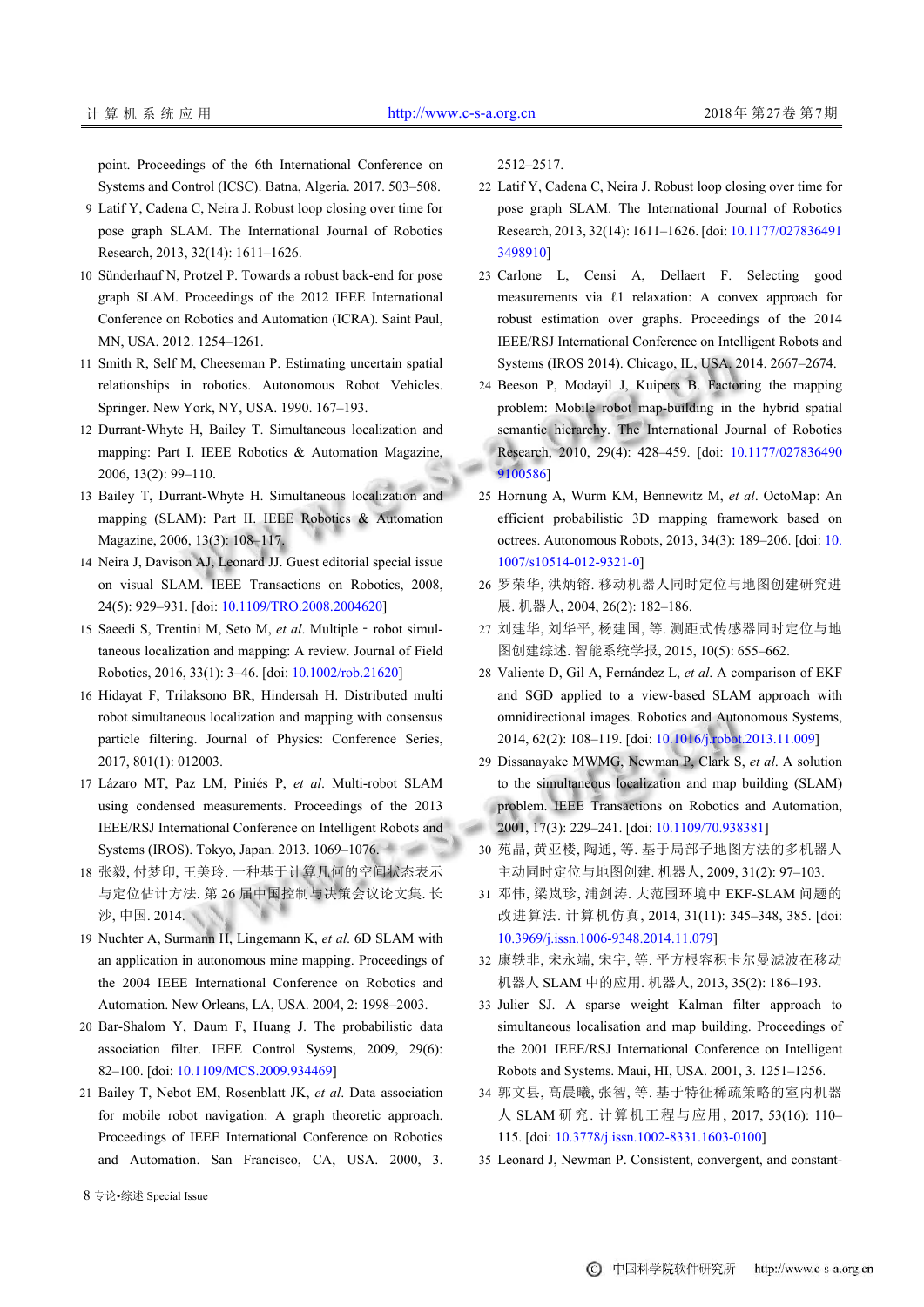point. Proceedings of the 6th International Conference on Systems and Control (ICSC). Batna, Algeria. 2017. 503–508.

- Latif Y, Cadena C, Neira J. Robust loop closing over time for 9 pose graph SLAM. The International Journal of Robotics Research, 2013, 32(14): 1611–1626.
- 10 Sünderhauf N, Protzel P. Towards a robust back-end for pose graph SLAM. Proceedings of the 2012 IEEE International Conference on Robotics and Automation (ICRA). Saint Paul, MN, USA. 2012. 1254–1261.
- 11 Smith R, Self M, Cheeseman P. Estimating uncertain spatial relationships in robotics. Autonomous Robot Vehicles. Springer. New York, NY, USA. 1990. 167–193.
- 12 Durrant-Whyte H, Bailey T. Simultaneous localization and mapping: Part I. IEEE Robotics & Automation Magazine, 2006, 13(2): 99–110.
- 13 Bailey T, Durrant-Whyte H. Simultaneous localization and mapping (SLAM): Part II. IEEE Robotics & Automation Magazine, 2006, 13(3): 108–117.
- 14 Neira J, Davison AJ, Leonard JJ. Guest editorial special issue on visual SLAM. IEEE Transactions on Robotics, 2008, 24(5): 929–931. [doi: [10.1109/TRO.2008.2004620](http://dx.doi.org/10.1109/TRO.2008.2004620)]
- 15 Saeedi S, Trentini M, Seto M, et al. Multiple robot simultaneous localization and mapping: A review. Journal of Field Robotics, 2016, 33(1): 3–46. [doi: [10.1002/rob.21620\]](http://dx.doi.org/10.1002/rob.21620)
- 16 Hidayat F, Trilaksono BR, Hindersah H. Distributed multi robot simultaneous localization and mapping with consensus particle filtering. Journal of Physics: Conference Series, 2017, 801(1): 012003.
- Lázaro MT, Paz LM, Piniés P, *et al*. Multi-robot SLAM 17 using condensed measurements. Proceedings of the 2013 IEEE/RSJ International Conference on Intelligent Robots and Systems (IROS). Tokyo, Japan. 2013. 1069–1076.
- 张毅, 付梦印, 王美玲. 一种基于计算几何的空间状态表示 18 与定位估计方法. 第 26 届中国控制与决策会议论文集. 长 沙, 中国. 2014.
- 19 Nuchter A, Surmann H, Lingemann K, et al. 6D SLAM with an application in autonomous mine mapping. Proceedings of the 2004 IEEE International Conference on Robotics and Automation. New Orleans, LA, USA. 2004, 2: 1998–2003.
- 20 Bar-Shalom Y, Daum F, Huang J. The probabilistic data association f[ilter. IEEE Control Syste](http://dx.doi.org/10.1109/MCS.2009.934469)ms, 2009, 29(6): 82–100. [doi: [10.1109/MCS.2009.934469](http://dx.doi.org/10.1109/MCS.2009.934469)]
- Bailey T, Nebot EM, Rosenblatt JK, *et al*. Data association 21 for mobile robot navigation: A graph theoretic approach. Proceedings of IEEE International Conference on Robotics and Automation. San Francisco, CA, USA. 2000, 3.

8 专论•综述 Special Issue

2512–2517.

- 22 Latif Y, Cadena C, Neira J. Robust loop closing over time for pose graph SLAM. The International Journal of Robotics Research, 2013, 32(14): 1611–1626. [doi: [10.1177/027836491](http://dx.doi.org/10.1177/0278364913498910) [3498910](http://dx.doi.org/10.1177/0278364913498910)]
- 23 Carlone L, Censi A, Dellaert F. Selecting good measurements via  $\ell$ 1 relaxation: A convex approach for robust estimation over graphs. Proceedings of the 2014 IEEE/RSJ International Conference on Intelligent Robots and Systems (IROS 2014). Chicago, IL, USA. 2014. 2667–2674.
- 24 Beeson P, Modayil J, Kuipers B. Factoring the mapping problem: Mobile robot map-building in the hybrid spatial semantic hierarchy. The International Journal of Robotics Research, 2010, 29(4): 428–459. [doi: [10.1177/027836490](http://dx.doi.org/10.1177/0278364909100586) [9100586](http://dx.doi.org/10.1177/0278364909100586)]
- 25 Hornung A, Wurm KM, Bennewitz M, et al. OctoMap: An efficient probabilistic 3D mapping framework based on octrees. Autonomous Robots, 2013, 34(3): 189–206. [doi: [10.](http://dx.doi.org/10.1007/s10514-012-9321-0) [1007/s10514-012-9321-0](http://dx.doi.org/10.1007/s10514-012-9321-0)]
- 罗荣华, 洪炳镕. 移动机器人同时定位与地图创建研究进 26 展. 机器人, 2004, 26(2): 182–186.
- 刘建华, 刘华平, 杨建国, 等. 测距式传感器同时定位与地 27 图创建综述. 智能系统学报, 2015, 10(5): 655–662.
- 28 Valiente D, Gil A, Fernández L, et al. A comparison of EKF and SGD applied to a view-based SLAM approach with omnidirectional images. Robotics and Autonomous Systems, 2014, 62(2): 108–119. [doi: [10.1016/j.robot.2013.11.009](http://dx.doi.org/10.1016/j.robot.2013.11.009)]
- 29 Dissanayake MWMG, Newman P, Clark S, et al. A solution to the simultaneous localization and map building (SLAM) problem. IEEE Transactions on Robotics and Automation, 2001, 17(3): 229–241. [doi: [10.1109/70.938381\]](http://dx.doi.org/10.1109/70.938381)  $\mathcal{A}$ 
	- 苑晶, 黄亚楼, 陶通, 等. 基于局部子地图方法的多机器人 30 主动同时定位与地图创建. 机器人, 2009, 31(2): 97–103.
	- 邓伟, 梁岚珍, 浦剑涛. 大范围环境中 EKF-SLAM 问题的 31 改进算法. 计算机仿真[, 2014, 31\(11](http://dx.doi.org/10.3969/j.issn.1006-9348.2014.11.079)): 345–348, 385. [doi: [10.3969/j.issn.1006-9348.2014.11.079\]](http://dx.doi.org/10.3969/j.issn.1006-9348.2014.11.079)
	- 康轶非, 宋永端, 宋宇, 等. 平方根容积卡尔曼滤波在移动 32 机器人 SLAM 中的应用. 机器人, 2013, 35(2): 186–193.
	- 33 Julier SJ. A sparse weight Kalman filter approach to simultaneous localisation and map building. Proceedings of the 2001 IEEE/RSJ International Conference on Intelligent Robots and Systems. Maui, HI, USA. 2001, 3. 1251–1256.
	- 郭文县, 高晨曦, 张智, 等. 基于特征稀疏策略的室内机器 34 人 SLAM 研究. [计算机工程与应用](http://dx.doi.org/10.3778/j.issn.1002-8331.1603-0100), 2017, 53(16): 110– 115. [doi: [10.3778/j.issn.1002-8331.1603-0100\]](http://dx.doi.org/10.3778/j.issn.1002-8331.1603-0100)
	- 35 Leonard J, Newman P. Consistent, convergent, and constant-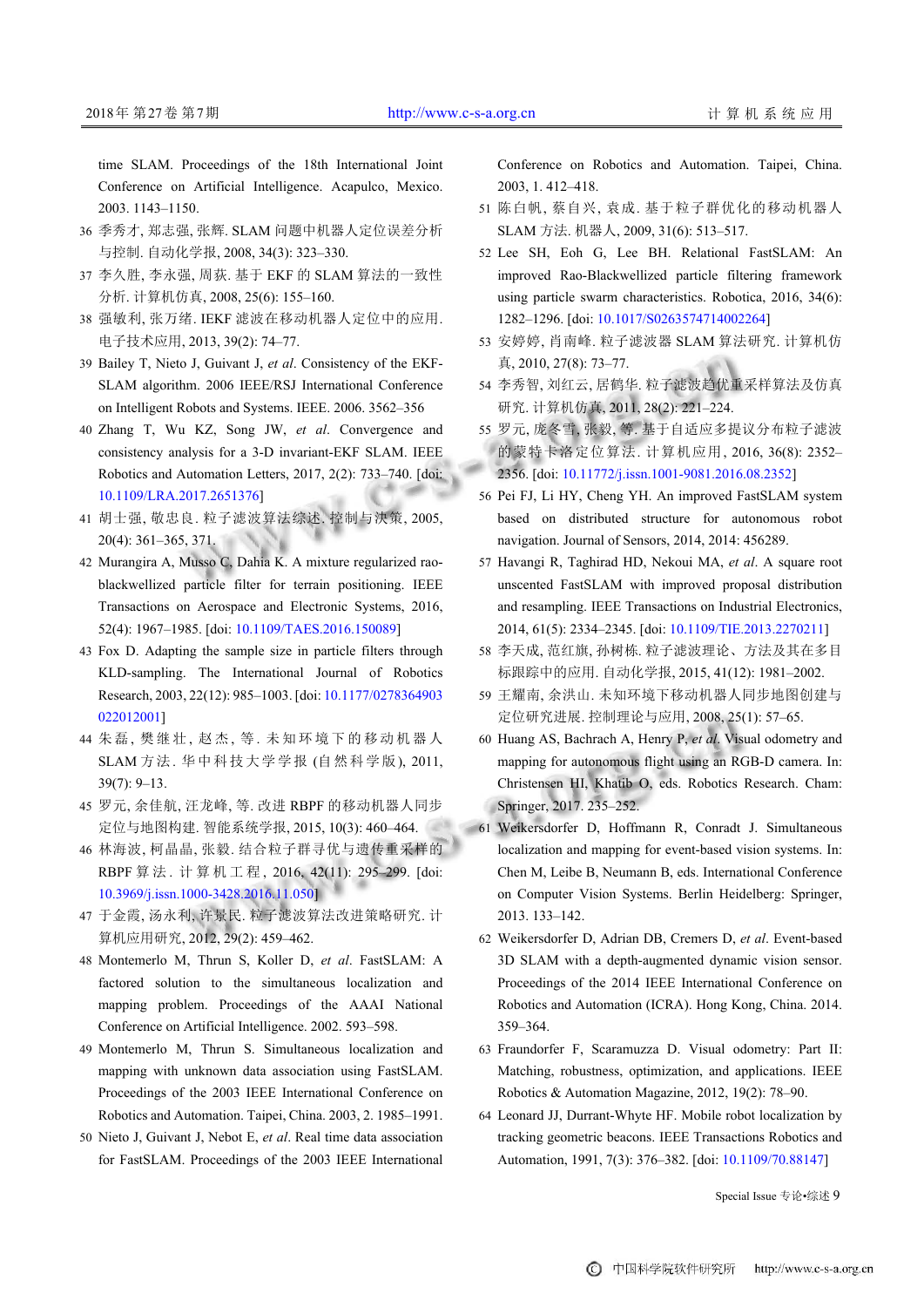time SLAM. Proceedings of the 18th International Joint Conference on Artificial Intelligence. Acapulco, Mexico. 2003. 1143–1150.

- 季秀才, 郑志强, 张辉. SLAM 问题中机器人定位误差分析 36 与控制. 自动化学报, 2008, 34(3): 323–330.
- 李久胜, 李永强, 周荻. 基于 EKF 的 SLAM 算法的一致性 37 分析. 计算机仿真, 2008, 25(6): 155–160.
- 强敏利, 张万绪. IEKF 滤波在移动机器人定位中的应用. 38 电子技术应用, 2013, 39(2): 74–77.
- 39 Bailey T, Nieto J, Guivant J, et al. Consistency of the EKF-SLAM algorithm. 2006 IEEE/RSJ International Conference on Intelligent Robots and Systems. IEEE. 2006. 3562–356
- 40 Zhang T, Wu KZ, Song JW, et al. Convergence and consistency analysis for a 3-D invariant-EKF SLAM. IEEE Robotics and Automation Letters, 2017, 2(2): 733–740. [doi: [10.1109/LRA.2017.2651376](http://dx.doi.org/10.1109/LRA.2017.2651376)]
- 胡士强, 敬忠良. 粒子滤波算法综述. 控制与決策, 2005, 41 20(4): 361–365, 371.
- 42 Murangira A, Musso C, Dahia K. A mixture regularized raoblackwellized particle filter for terrain positioning. IEEE Transactions on Aerospace and Electronic Systems, 2016, 52(4): 1967–1985. [doi: [10.1109/TAES.2016.150089\]](http://dx.doi.org/10.1109/TAES.2016.150089)
- <span id="page-8-1"></span><span id="page-8-0"></span>Fox D. Adapting the sample size in particle filters through 43 KLD-sampling. The International Journal of Robotics Research, 2003, 22(12): 985–1003. [doi: [10.1177/0278364903](http://dx.doi.org/10.1177/0278364903022012001) [022012001\]](http://dx.doi.org/10.1177/0278364903022012001)
- 44 朱磊, 樊继壮, 赵杰, 等. 未知环境下的移动机器人 SLAM 方法. 华中科技大学学报 (自然科学版), 2011, 39(7): 9–13.
- <span id="page-8-2"></span>罗元, 余佳航, 汪龙峰, 等. 改进 RBPF 的移动机器人同步 45 定位与地图构建. 智能系统学报, 2015, 10(3): 460–464.
- <span id="page-8-4"></span>林海波, 柯晶晶, 张毅. 结合粒子群寻优与遗传重采样的 46 RBPF 算 法 . 计 算 机 工 程 , 2016, 42(11): 295–299. [doi: [10.3969/j.issn.1000-3428.2016.11.050](http://dx.doi.org/10.3969/j.issn.1000-3428.2016.11.050)]
- <span id="page-8-5"></span>于金霞, 汤永利, 许景民. 粒子滤波算法改进策略研究. 计 47 算机应用研究, 2012, 29(2): 459–462.
- 48 Montemerlo M, Thrun S, Koller D, et al. FastSLAM: A factored solution to the simultaneous localization and mapping problem. Proceedings of the AAAI National Conference on Artificial Intelligence. 2002. 593–598.
- <span id="page-8-6"></span>Montemerlo M, Thrun S. Simultaneous localization and 49 mapping with unknown data association using FastSLAM. Proceedings of the 2003 IEEE International Conference on Robotics and Automation. Taipei, China. 2003, 2. 1985–1991.
- <span id="page-8-7"></span>50 Nieto J, Guivant J, Nebot E, et al. Real time data association for FastSLAM. Proceedings of the 2003 IEEE International

<span id="page-8-9"></span><span id="page-8-8"></span>Conference on Robotics and Automation. Taipei, China. 2003, 1. 412–418.

- 陈白帆, 蔡自兴, 袁成. 基于粒子群优化的移动机器人 51 SLAM 方法. 机器人, 2009, 31(6): 513–517.
- 52 Lee SH, Eoh G, Lee BH. Relational FastSLAM: An improved Rao-Blackwellized particle filtering framework using particle swarm characteristics. Robotica, 2016, 34(6): 1282–1296. [doi: [10.1017/S0263574714002264\]](http://dx.doi.org/10.1017/S0263574714002264)
- <span id="page-8-11"></span><span id="page-8-10"></span>安婷婷, 肖南峰. 粒子滤波器 SLAM 算法研究. 计算机仿 53 真, 2010, 27(8): 73–77.
- <span id="page-8-12"></span>李秀智, 刘红云, 居鹤华. 粒子滤波趋优重采样算法及仿真 54 研究. 计算机仿真, 2011, 28(2): 221–224.
- 罗元, 庞冬雪, 张毅, 等. 基于自适应多提议分布粒子滤波 55 的蒙特卡洛定位算法. 计算机应用, 2016, 36(8): 2352– 2356. [doi: [10.11772/j.issn.1001-9081.2016.08.2352](http://dx.doi.org/10.11772/j.issn.1001-9081.2016.08.2352)]
- <span id="page-8-13"></span>56 Pei FJ, Li HY, Cheng YH. An improved FastSLAM system based on distributed structure for autonomous robot navigation. Journal of Sensors, 2014, 2014: 456289.
- 57 Havangi R, Taghirad HD, Nekoui MA, et al. A square root unscented FastSLAM with improved proposal distribution and resampling. IEEE Transactions on Industrial Electronics, 2014, 61(5): 2334–2345. [doi: [10.1109/TIE.2013.2270211](http://dx.doi.org/10.1109/TIE.2013.2270211)]
- <span id="page-8-15"></span><span id="page-8-14"></span>李天成, 范红旗, 孙树栋. 粒子滤波理论、方法及其在多目 58 标跟踪中的应用. 自动化学报, 2015, 41(12): 1981–2002.
- <span id="page-8-16"></span>王耀南, 余洪山. 未知环境下移动机器人同步地图创建与 59 定位研究进展. 控制理论与应用, 2008, 25(1): 57–65.
- 60 Huang AS, Bachrach A, Henry P, et al. Visual odometry and mapping for autonomous flight using an RGB-D camera. In: Christensen HI, Khatib O, eds. Robotics Research. Cham: Springer, 2017. 235–252.
- <span id="page-8-17"></span><span id="page-8-3"></span>Weikersdorfer D, Hoffmann R, Conradt J. Simultaneous 61 localization and mapping for event-based vision systems. In: Chen M, Leibe B, Neumann B, eds. International Conference on Computer Vision Systems. Berlin Heidelberg: Springer, 2013. 133–142.
- Weikersdorfer D, Adrian DB, Cremers D, *et al*. Event-based 62 3D SLAM with a depth-augmented dynamic vision sensor. Proceedings of the 2014 IEEE International Conference on Robotics and Automation (ICRA). Hong Kong, China. 2014. 359–364.
- 63 Fraundorfer F, Scaramuzza D. Visual odometry: Part II: Matching, robustness, optimization, and applications. IEEE Robotics & Automation Magazine, 2012, 19(2): 78–90.
- <span id="page-8-19"></span><span id="page-8-18"></span>Leonard JJ, Durrant-Whyte HF. Mobile robot localization by 64 tracking geometric beacons. IEEE Tran[sactions Robotics a](http://dx.doi.org/10.1109/70.88147)nd Automation, 1991, 7(3): 376–382. [doi: [10.1109/70.88147](http://dx.doi.org/10.1109/70.88147)]

Special Issue 专论•综述 9